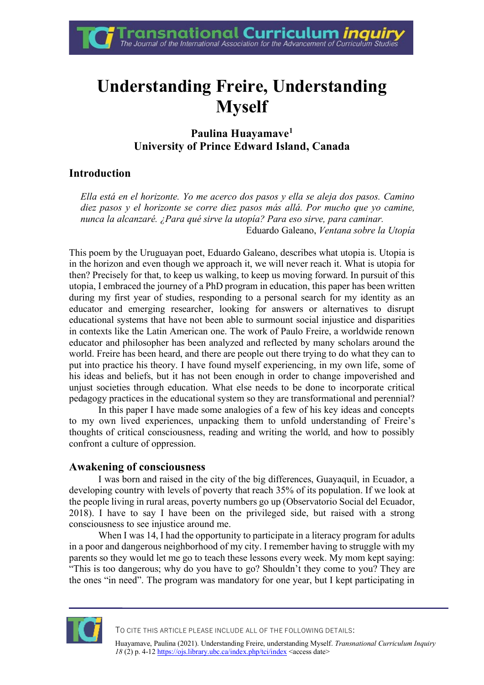# **Understanding Freire, Understanding Myself**

## **Paulina Huayamave<sup>1</sup> University of Prince Edward Island, Canada**

# **Introduction**

*Ella está en el horizonte. Yo me acerco dos pasos y ella se aleja dos pasos. Camino diez pasos y el horizonte se corre diez pasos más allá. Por mucho que yo camine, nunca la alcanzaré. ¿Para qué sirve la utopía? Para eso sirve, para caminar.* Eduardo Galeano, *Ventana sobre la Utopía*

This poem by the Uruguayan poet, Eduardo Galeano, describes what utopia is. Utopia is in the horizon and even though we approach it, we will never reach it. What is utopia for then? Precisely for that, to keep us walking, to keep us moving forward. In pursuit of this utopia, I embraced the journey of a PhD program in education, this paper has been written during my first year of studies, responding to a personal search for my identity as an educator and emerging researcher, looking for answers or alternatives to disrupt educational systems that have not been able to surmount social injustice and disparities in contexts like the Latin American one. The work of Paulo Freire, a worldwide renown educator and philosopher has been analyzed and reflected by many scholars around the world. Freire has been heard, and there are people out there trying to do what they can to put into practice his theory. I have found myself experiencing, in my own life, some of his ideas and beliefs, but it has not been enough in order to change impoverished and unjust societies through education. What else needs to be done to incorporate critical pedagogy practices in the educational system so they are transformational and perennial?

In this paper I have made some analogies of a few of his key ideas and concepts to my own lived experiences, unpacking them to unfold understanding of Freire's thoughts of critical consciousness, reading and writing the world, and how to possibly confront a culture of oppression.

## **Awakening of consciousness**

I was born and raised in the city of the big differences, Guayaquil, in Ecuador, a developing country with levels of poverty that reach 35% of its population. If we look at the people living in rural areas, poverty numbers go up (Observatorio Social del Ecuador, 2018). I have to say I have been on the privileged side, but raised with a strong consciousness to see injustice around me.

When I was 14, I had the opportunity to participate in a literacy program for adults in a poor and dangerous neighborhood of my city. I remember having to struggle with my parents so they would let me go to teach these lessons every week. My mom kept saying: "This is too dangerous; why do you have to go? Shouldn't they come to you? They are the ones "in need". The program was mandatory for one year, but I kept participating in



TO CITE THIS ARTICLE PLEASE INCLUDE ALL OF THE FOLLOWING DETAILS:

Huayamave, Paulina (2021). Understanding Freire, understanding Myself. *Transnational Curriculum Inquiry 18* (2) p. 4-12 https://ojs.library.ubc.ca/index.php/tci/index <access date>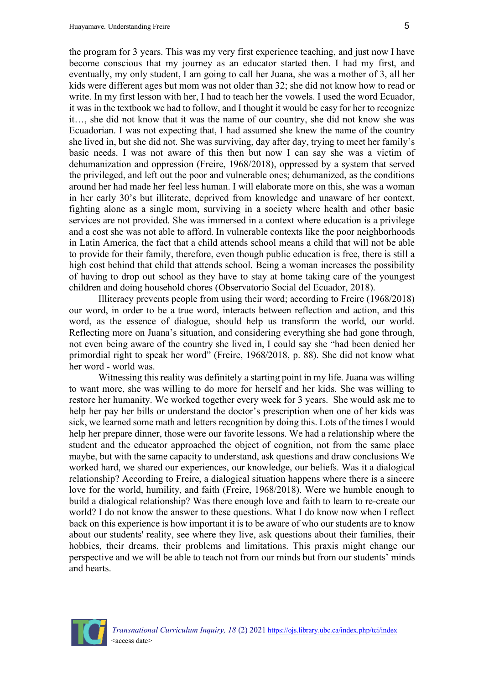the program for 3 years. This was my very first experience teaching, and just now I have become conscious that my journey as an educator started then. I had my first, and eventually, my only student, I am going to call her Juana, she was a mother of 3, all her kids were different ages but mom was not older than 32; she did not know how to read or write. In my first lesson with her, I had to teach her the vowels. I used the word Ecuador, it was in the textbook we had to follow, and I thought it would be easy for her to recognize it…, she did not know that it was the name of our country, she did not know she was Ecuadorian. I was not expecting that, I had assumed she knew the name of the country she lived in, but she did not. She was surviving, day after day, trying to meet her family's basic needs. I was not aware of this then but now I can say she was a victim of dehumanization and oppression (Freire, 1968/2018), oppressed by a system that served the privileged, and left out the poor and vulnerable ones; dehumanized, as the conditions around her had made her feel less human. I will elaborate more on this, she was a woman in her early 30's but illiterate, deprived from knowledge and unaware of her context, fighting alone as a single mom, surviving in a society where health and other basic services are not provided. She was immersed in a context where education is a privilege and a cost she was not able to afford. In vulnerable contexts like the poor neighborhoods in Latin America, the fact that a child attends school means a child that will not be able to provide for their family, therefore, even though public education is free, there is still a high cost behind that child that attends school. Being a woman increases the possibility of having to drop out school as they have to stay at home taking care of the youngest children and doing household chores (Observatorio Social del Ecuador, 2018).

Illiteracy prevents people from using their word; according to Freire (1968/2018) our word, in order to be a true word, interacts between reflection and action, and this word, as the essence of dialogue, should help us transform the world, our world. Reflecting more on Juana's situation, and considering everything she had gone through, not even being aware of the country she lived in, I could say she "had been denied her primordial right to speak her word" (Freire, 1968/2018, p. 88). She did not know what her word - world was.

Witnessing this reality was definitely a starting point in my life. Juana was willing to want more, she was willing to do more for herself and her kids. She was willing to restore her humanity. We worked together every week for 3 years. She would ask me to help her pay her bills or understand the doctor's prescription when one of her kids was sick, we learned some math and letters recognition by doing this. Lots of the times I would help her prepare dinner, those were our favorite lessons. We had a relationship where the student and the educator approached the object of cognition, not from the same place maybe, but with the same capacity to understand, ask questions and draw conclusions We worked hard, we shared our experiences, our knowledge, our beliefs. Was it a dialogical relationship? According to Freire, a dialogical situation happens where there is a sincere love for the world, humility, and faith (Freire, 1968/2018). Were we humble enough to build a dialogical relationship? Was there enough love and faith to learn to re-create our world? I do not know the answer to these questions. What I do know now when I reflect back on this experience is how important it is to be aware of who our students are to know about our students' reality, see where they live, ask questions about their families, their hobbies, their dreams, their problems and limitations. This praxis might change our perspective and we will be able to teach not from our minds but from our students' minds and hearts.

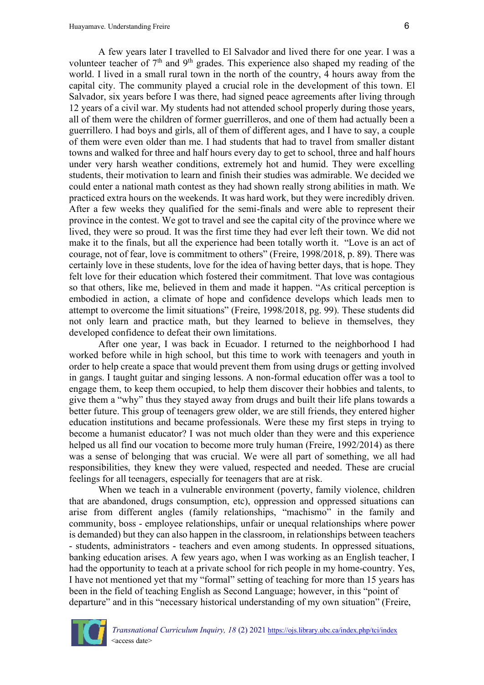A few years later I travelled to El Salvador and lived there for one year. I was a volunteer teacher of  $7<sup>th</sup>$  and  $9<sup>th</sup>$  grades. This experience also shaped my reading of the world. I lived in a small rural town in the north of the country, 4 hours away from the capital city. The community played a crucial role in the development of this town. El Salvador, six years before I was there, had signed peace agreements after living through 12 years of a civil war. My students had not attended school properly during those years, all of them were the children of former guerrilleros, and one of them had actually been a guerrillero. I had boys and girls, all of them of different ages, and I have to say, a couple of them were even older than me. I had students that had to travel from smaller distant towns and walked for three and half hours every day to get to school, three and half hours under very harsh weather conditions, extremely hot and humid. They were excelling students, their motivation to learn and finish their studies was admirable. We decided we could enter a national math contest as they had shown really strong abilities in math. We practiced extra hours on the weekends. It was hard work, but they were incredibly driven. After a few weeks they qualified for the semi-finals and were able to represent their province in the contest. We got to travel and see the capital city of the province where we lived, they were so proud. It was the first time they had ever left their town. We did not make it to the finals, but all the experience had been totally worth it. "Love is an act of courage, not of fear, love is commitment to others" (Freire, 1998/2018, p. 89). There was certainly love in these students, love for the idea of having better days, that is hope. They felt love for their education which fostered their commitment. That love was contagious so that others, like me, believed in them and made it happen. "As critical perception is embodied in action, a climate of hope and confidence develops which leads men to attempt to overcome the limit situations" (Freire, 1998/2018, pg. 99). These students did not only learn and practice math, but they learned to believe in themselves, they developed confidence to defeat their own limitations.

After one year, I was back in Ecuador. I returned to the neighborhood I had worked before while in high school, but this time to work with teenagers and youth in order to help create a space that would prevent them from using drugs or getting involved in gangs. I taught guitar and singing lessons. A non-formal education offer was a tool to engage them, to keep them occupied, to help them discover their hobbies and talents, to give them a "why" thus they stayed away from drugs and built their life plans towards a better future. This group of teenagers grew older, we are still friends, they entered higher education institutions and became professionals. Were these my first steps in trying to become a humanist educator? I was not much older than they were and this experience helped us all find our vocation to become more truly human (Freire, 1992/2014) as there was a sense of belonging that was crucial. We were all part of something, we all had responsibilities, they knew they were valued, respected and needed. These are crucial feelings for all teenagers, especially for teenagers that are at risk.

When we teach in a vulnerable environment (poverty, family violence, children that are abandoned, drugs consumption, etc), oppression and oppressed situations can arise from different angles (family relationships, "machismo" in the family and community, boss - employee relationships, unfair or unequal relationships where power is demanded) but they can also happen in the classroom, in relationships between teachers - students, administrators - teachers and even among students. In oppressed situations, banking education arises. A few years ago, when I was working as an English teacher, I had the opportunity to teach at a private school for rich people in my home-country. Yes, I have not mentioned yet that my "formal" setting of teaching for more than 15 years has been in the field of teaching English as Second Language; however, in this "point of departure" and in this "necessary historical understanding of my own situation" (Freire,

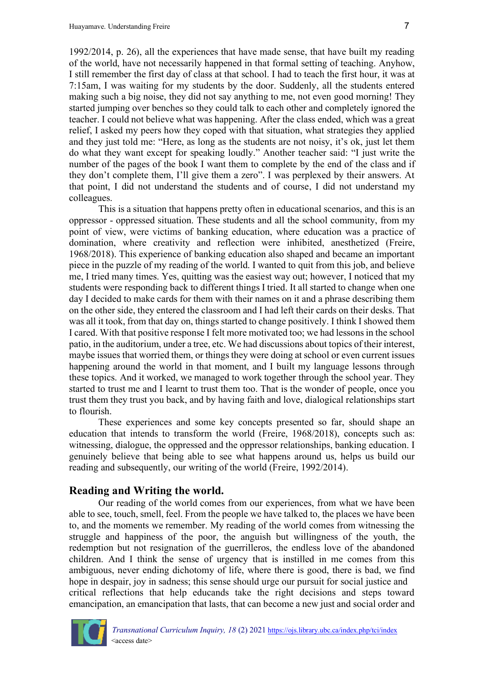1992/2014, p. 26), all the experiences that have made sense, that have built my reading of the world, have not necessarily happened in that formal setting of teaching. Anyhow, I still remember the first day of class at that school. I had to teach the first hour, it was at 7:15am, I was waiting for my students by the door. Suddenly, all the students entered making such a big noise, they did not say anything to me, not even good morning! They started jumping over benches so they could talk to each other and completely ignored the teacher. I could not believe what was happening. After the class ended, which was a great relief, I asked my peers how they coped with that situation, what strategies they applied and they just told me: "Here, as long as the students are not noisy, it's ok, just let them do what they want except for speaking loudly." Another teacher said: "I just write the number of the pages of the book I want them to complete by the end of the class and if they don't complete them, I'll give them a zero". I was perplexed by their answers. At that point, I did not understand the students and of course, I did not understand my colleagues.

This is a situation that happens pretty often in educational scenarios, and this is an oppressor - oppressed situation. These students and all the school community, from my point of view, were victims of banking education, where education was a practice of domination, where creativity and reflection were inhibited, anesthetized (Freire, 1968/2018). This experience of banking education also shaped and became an important piece in the puzzle of my reading of the world. I wanted to quit from this job, and believe me, I tried many times. Yes, quitting was the easiest way out; however, I noticed that my students were responding back to different things I tried. It all started to change when one day I decided to make cards for them with their names on it and a phrase describing them on the other side, they entered the classroom and I had left their cards on their desks. That was all it took, from that day on, things started to change positively. I think I showed them I cared. With that positive response I felt more motivated too; we had lessons in the school patio, in the auditorium, under a tree, etc. We had discussions about topics of their interest, maybe issues that worried them, or things they were doing at school or even current issues happening around the world in that moment, and I built my language lessons through these topics. And it worked, we managed to work together through the school year. They started to trust me and I learnt to trust them too. That is the wonder of people, once you trust them they trust you back, and by having faith and love, dialogical relationships start to flourish.

These experiences and some key concepts presented so far, should shape an education that intends to transform the world (Freire, 1968/2018), concepts such as: witnessing, dialogue, the oppressed and the oppressor relationships, banking education. I genuinely believe that being able to see what happens around us, helps us build our reading and subsequently, our writing of the world (Freire, 1992/2014).

#### **Reading and Writing the world.**

Our reading of the world comes from our experiences, from what we have been able to see, touch, smell, feel. From the people we have talked to, the places we have been to, and the moments we remember. My reading of the world comes from witnessing the struggle and happiness of the poor, the anguish but willingness of the youth, the redemption but not resignation of the guerrilleros, the endless love of the abandoned children. And I think the sense of urgency that is instilled in me comes from this ambiguous, never ending dichotomy of life, where there is good, there is bad, we find hope in despair, joy in sadness; this sense should urge our pursuit for social justice and critical reflections that help educands take the right decisions and steps toward emancipation, an emancipation that lasts, that can become a new just and social order and

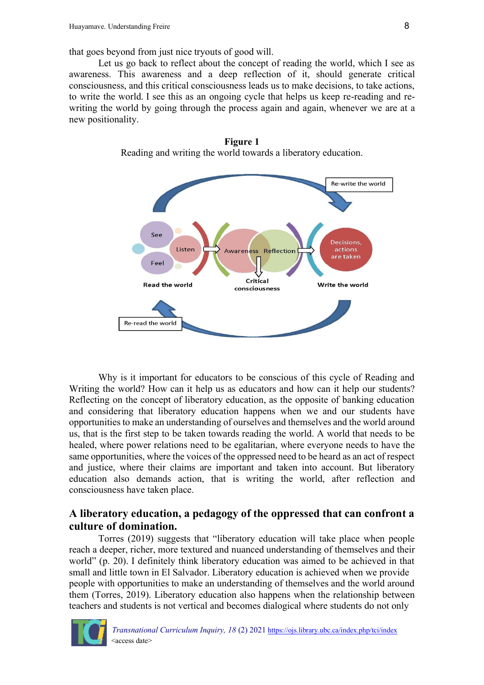that goes beyond from just nice tryouts of good will.

Let us go back to reflect about the concept of reading the world, which I see as awareness. This awareness and a deep reflection of it, should generate critical consciousness, and this critical consciousness leads us to make decisions, to take actions, to write the world. I see this as an ongoing cycle that helps us keep re-reading and rewriting the world by going through the process again and again, whenever we are at a new positionality.



**Figure 1** Reading and writing the world towards a liberatory education.

Why is it important for educators to be conscious of this cycle of Reading and Writing the world? How can it help us as educators and how can it help our students? Reflecting on the concept of liberatory education, as the opposite of banking education and considering that liberatory education happens when we and our students have opportunities to make an understanding of ourselves and themselves and the world around us, that is the first step to be taken towards reading the world. A world that needs to be healed, where power relations need to be egalitarian, where everyone needs to have the same opportunities, where the voices of the oppressed need to be heard as an act of respect and justice, where their claims are important and taken into account. But liberatory education also demands action, that is writing the world, after reflection and consciousness have taken place.

## **A liberatory education, a pedagogy of the oppressed that can confront a culture of domination.**

Torres (2019) suggests that "liberatory education will take place when people reach a deeper, richer, more textured and nuanced understanding of themselves and their world" (p. 20). I definitely think liberatory education was aimed to be achieved in that small and little town in El Salvador. Liberatory education is achieved when we provide people with opportunities to make an understanding of themselves and the world around them (Torres, 2019). Liberatory education also happens when the relationship between teachers and students is not vertical and becomes dialogical where students do not only

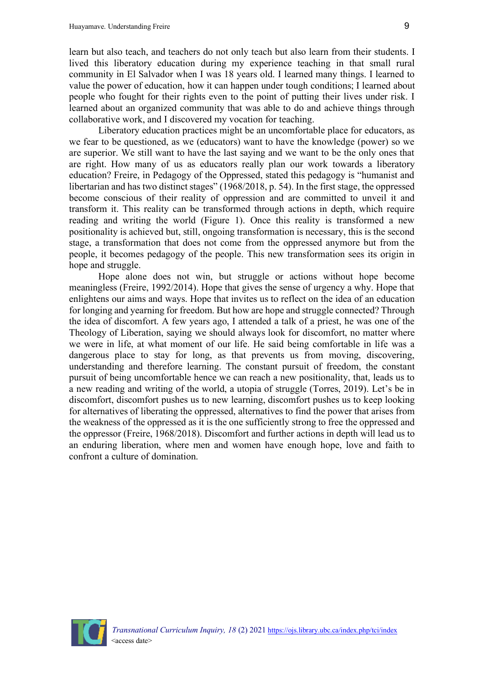learn but also teach, and teachers do not only teach but also learn from their students. I lived this liberatory education during my experience teaching in that small rural community in El Salvador when I was 18 years old. I learned many things. I learned to value the power of education, how it can happen under tough conditions; I learned about people who fought for their rights even to the point of putting their lives under risk. I learned about an organized community that was able to do and achieve things through collaborative work, and I discovered my vocation for teaching.

Liberatory education practices might be an uncomfortable place for educators, as we fear to be questioned, as we (educators) want to have the knowledge (power) so we are superior. We still want to have the last saying and we want to be the only ones that are right. How many of us as educators really plan our work towards a liberatory education? Freire, in Pedagogy of the Oppressed, stated this pedagogy is "humanist and libertarian and has two distinct stages" (1968/2018, p. 54). In the first stage, the oppressed become conscious of their reality of oppression and are committed to unveil it and transform it. This reality can be transformed through actions in depth, which require reading and writing the world (Figure 1). Once this reality is transformed a new positionality is achieved but, still, ongoing transformation is necessary, this is the second stage, a transformation that does not come from the oppressed anymore but from the people, it becomes pedagogy of the people. This new transformation sees its origin in hope and struggle.

Hope alone does not win, but struggle or actions without hope become meaningless (Freire, 1992/2014). Hope that gives the sense of urgency a why. Hope that enlightens our aims and ways. Hope that invites us to reflect on the idea of an education for longing and yearning for freedom. But how are hope and struggle connected? Through the idea of discomfort. A few years ago, I attended a talk of a priest, he was one of the Theology of Liberation, saying we should always look for discomfort, no matter where we were in life, at what moment of our life. He said being comfortable in life was a dangerous place to stay for long, as that prevents us from moving, discovering, understanding and therefore learning. The constant pursuit of freedom, the constant pursuit of being uncomfortable hence we can reach a new positionality, that, leads us to a new reading and writing of the world, a utopia of struggle (Torres, 2019). Let's be in discomfort, discomfort pushes us to new learning, discomfort pushes us to keep looking for alternatives of liberating the oppressed, alternatives to find the power that arises from the weakness of the oppressed as it is the one sufficiently strong to free the oppressed and the oppressor (Freire, 1968/2018). Discomfort and further actions in depth will lead us to an enduring liberation, where men and women have enough hope, love and faith to confront a culture of domination.

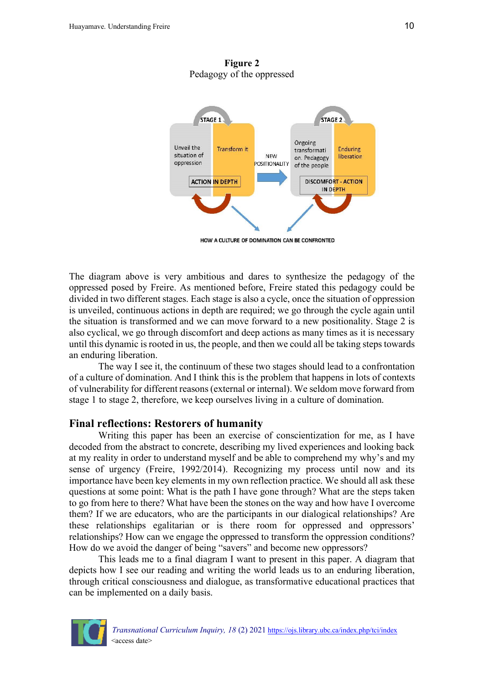STAGE 1 STAGE<sub>2</sub> Ongoing Unveil the Transform it Enduring transformati situation of **NEW** liberation on. Pedagogy oppression **POSITIONALITY** of the people **ACTION IN DEPTH DISCOMFORT - ACTION** IN DEPTH

**Figure 2** Pedagogy of the oppressed

HOW A CULTURE OF DOMINATION CAN BE CONFRONTED

The diagram above is very ambitious and dares to synthesize the pedagogy of the oppressed posed by Freire. As mentioned before, Freire stated this pedagogy could be divided in two different stages. Each stage is also a cycle, once the situation of oppression is unveiled, continuous actions in depth are required; we go through the cycle again until the situation is transformed and we can move forward to a new positionality. Stage 2 is also cyclical, we go through discomfort and deep actions as many times as it is necessary until this dynamic is rooted in us, the people, and then we could all be taking steps towards an enduring liberation.

The way I see it, the continuum of these two stages should lead to a confrontation of a culture of domination. And I think this is the problem that happens in lots of contexts of vulnerability for different reasons (external or internal). We seldom move forward from stage 1 to stage 2, therefore, we keep ourselves living in a culture of domination.

#### **Final reflections: Restorers of humanity**

Writing this paper has been an exercise of conscientization for me, as I have decoded from the abstract to concrete, describing my lived experiences and looking back at my reality in order to understand myself and be able to comprehend my why's and my sense of urgency (Freire, 1992/2014). Recognizing my process until now and its importance have been key elements in my own reflection practice. We should all ask these questions at some point: What is the path I have gone through? What are the steps taken to go from here to there? What have been the stones on the way and how have I overcome them? If we are educators, who are the participants in our dialogical relationships? Are these relationships egalitarian or is there room for oppressed and oppressors' relationships? How can we engage the oppressed to transform the oppression conditions? How do we avoid the danger of being "savers" and become new oppressors?

This leads me to a final diagram I want to present in this paper. A diagram that depicts how I see our reading and writing the world leads us to an enduring liberation, through critical consciousness and dialogue, as transformative educational practices that can be implemented on a daily basis.

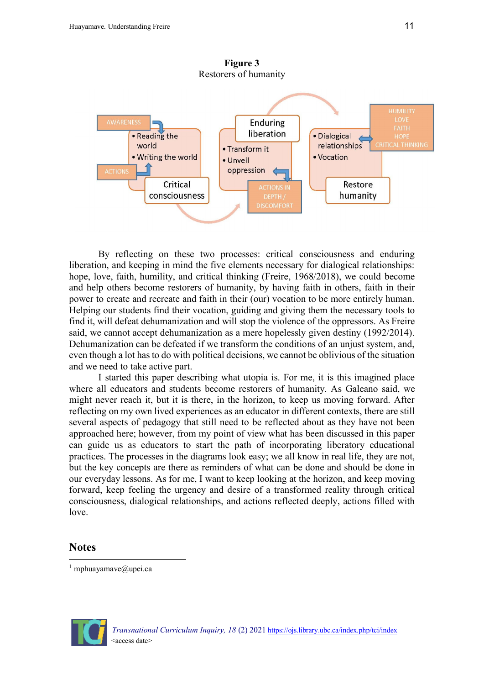

By reflecting on these two processes: critical consciousness and enduring liberation, and keeping in mind the five elements necessary for dialogical relationships: hope, love, faith, humility, and critical thinking (Freire, 1968/2018), we could become and help others become restorers of humanity, by having faith in others, faith in their power to create and recreate and faith in their (our) vocation to be more entirely human. Helping our students find their vocation, guiding and giving them the necessary tools to find it, will defeat dehumanization and will stop the violence of the oppressors. As Freire said, we cannot accept dehumanization as a mere hopelessly given destiny (1992/2014). Dehumanization can be defeated if we transform the conditions of an unjust system, and, even though a lot has to do with political decisions, we cannot be oblivious of the situation and we need to take active part.

I started this paper describing what utopia is. For me, it is this imagined place where all educators and students become restorers of humanity. As Galeano said, we might never reach it, but it is there, in the horizon, to keep us moving forward. After reflecting on my own lived experiences as an educator in different contexts, there are still several aspects of pedagogy that still need to be reflected about as they have not been approached here; however, from my point of view what has been discussed in this paper can guide us as educators to start the path of incorporating liberatory educational practices. The processes in the diagrams look easy; we all know in real life, they are not, but the key concepts are there as reminders of what can be done and should be done in our everyday lessons. As for me, I want to keep looking at the horizon, and keep moving forward, keep feeling the urgency and desire of a transformed reality through critical consciousness, dialogical relationships, and actions reflected deeply, actions filled with love.

#### **Notes**



<sup>&</sup>lt;sup>1</sup> mphuayamave@upei.ca